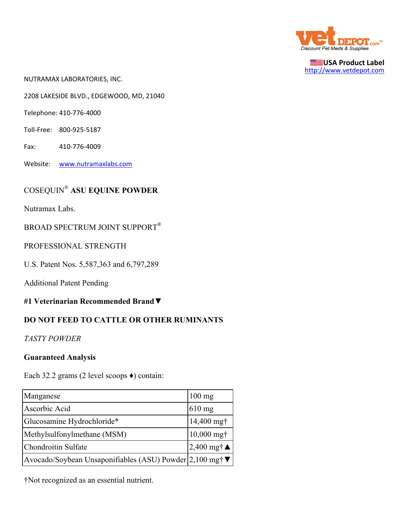

**USA Product Label** http://www.vetdepot.com

NUTRAMAX LABORATORIES, INC.

2208 LAKESIDE BLVD., EDGEWOOD, MD, 21040

Telephone: 410‐776‐4000

- Toll‐Free: 800‐925‐5187
- Fax: 410‐776‐4009
- Website: www.nutramaxlabs.com

## COSEQUIN® **ASU EQUINE POWDER**

Nutramax Labs.

BROAD SPECTRUM JOINT SUPPORT®

PROFESSIONAL STRENGTH

U.S. Patent Nos. 5,587,363 and 6,797,289

Additional Patent Pending

**#1 Veterinarian Recommended Brand**▼

## **DO NOT FEED TO CATTLE OR OTHER RUMINANTS**

*TASTY POWDER*

## **Guaranteed Analysis**

Each 32.2 grams (2 level scoops ♦) contain:

| Manganese                                               | $100$ mg              |
|---------------------------------------------------------|-----------------------|
| Ascorbic Acid                                           | $610$ mg              |
| Glucosamine Hydrochloride*                              | 14,400 mg†            |
| Methylsulfonylmethane (MSM)                             | $10,000$ mg $\dagger$ |
| Chondroitin Sulfate                                     | 2,400 mg†▲            |
| Avocado/Soybean Unsaponifiables (ASU) Powder 2,100 mg†▼ |                       |

†Not recognized as an essential nutrient.